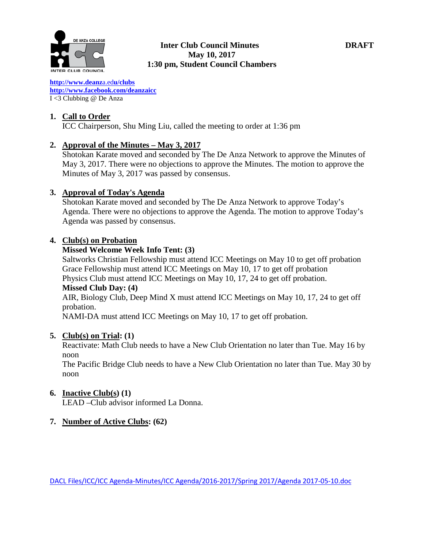

# **Exanza college**<br> **1988 Transformation Council Minutes DRAFT May 10, 2017 1:30 pm, Student Council Chambers**

**[http://www.deanz](http://www.deanza.edu/clubs)**[a.ed](http://www.deanza.edu/clubs)**[u/clubs](http://www.deanza.edu/clubs) [http://www.facebook.com/deanzaicc](http://www.facebook.com/home.php#!/group.php?gid=59034552686)** I <3 Clubbing @ De Anza

#### **1. Call to Order**

ICC Chairperson, Shu Ming Liu, called the meeting to order at 1:36 pm

#### **2. Approval of the Minutes – May 3, 2017**

Shotokan Karate moved and seconded by The De Anza Network to approve the Minutes of May 3, 2017. There were no objections to approve the Minutes. The motion to approve the Minutes of May 3, 2017 was passed by consensus.

#### **3. Approval of Today's Agenda**

Shotokan Karate moved and seconded by The De Anza Network to approve Today's Agenda. There were no objections to approve the Agenda. The motion to approve Today's Agenda was passed by consensus.

#### **4. Club(s) on Probation**

#### **Missed Welcome Week Info Tent: (3)**

Saltworks Christian Fellowship must attend ICC Meetings on May 10 to get off probation Grace Fellowship must attend ICC Meetings on May 10, 17 to get off probation Physics Club must attend ICC Meetings on May 10, 17, 24 to get off probation. **Missed Club Day: (4)** AIR, Biology Club, Deep Mind X must attend ICC Meetings on May 10, 17, 24 to get off probation.

NAMI-DA must attend ICC Meetings on May 10, 17 to get off probation.

#### **5. Club(s) on Trial: (1)**

Reactivate: Math Club needs to have a New Club Orientation no later than Tue. May 16 by noon

The Pacific Bridge Club needs to have a New Club Orientation no later than Tue. May 30 by noon

### **6. Inactive Club(s) (1)**

LEAD –Club advisor informed La Donna.

### **7. Number of Active Clubs: (62)**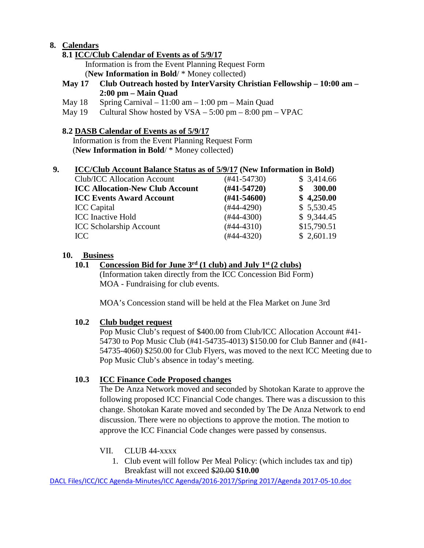# **8. Calendars**

# **8.1 ICC/Club Calendar of Events as of 5/9/17**

 Information is from the Event Planning Request Form (**New Information in Bold**/ \* Money collected)

## **May 17 Club Outreach hosted by InterVarsity Christian Fellowship – 10:00 am – 2:00 pm – Main Quad**

- May  $18$  Spring Carnival  $11:00$  am  $1:00$  pm Main Quad
- May  $19$  Cultural Show hosted by  $VSA 5:00 \text{ pm} 8:00 \text{ pm} \text{VPAC}$

# **8.2 DASB Calendar of Events as of 5/9/17**

Information is from the Event Planning Request Form (**New Information in Bold**/ \* Money collected)

### **9. ICC/Club Account Balance Status as of 5/9/17 (New Information in Bold)**

| <b>Club/ICC Allocation Account</b>     | $(#41-54730)$    | \$3,414.66  |
|----------------------------------------|------------------|-------------|
| <b>ICC Allocation-New Club Account</b> | $(H41-54720)$    | 300.00      |
| <b>ICC Events Award Account</b>        | $(\#41 - 54600)$ | \$4,250.00  |
| <b>ICC</b> Capital                     | $(#44-4290)$     | \$5,530.45  |
| <b>ICC</b> Inactive Hold               | $(#44-4300)$     | \$9,344.45  |
| <b>ICC Scholarship Account</b>         | $(#44-4310)$     | \$15,790.51 |
| ICC                                    | $(#44-4320)$     | \$2,601.19  |

### **10. Business**

# **10.1 Concession Bid for June 3rd (1 club) and July 1st (2 clubs)**

(Information taken directly from the ICC Concession Bid Form) MOA - Fundraising for club events.

MOA's Concession stand will be held at the Flea Market on June 3rd

### **10.2 Club budget request**

Pop Music Club's request of \$400.00 from Club/ICC Allocation Account #41- 54730 to Pop Music Club (#41-54735-4013) \$150.00 for Club Banner and (#41- 54735-4060) \$250.00 for Club Flyers, was moved to the next ICC Meeting due to Pop Music Club's absence in today's meeting.

# **10.3 ICC Finance Code Proposed changes**

The De Anza Network moved and seconded by Shotokan Karate to approve the following proposed ICC Financial Code changes. There was a discussion to this change. Shotokan Karate moved and seconded by The De Anza Network to end discussion. There were no objections to approve the motion. The motion to approve the ICC Financial Code changes were passed by consensus.

- VII. CLUB 44-xxxx
	- 1. Club event will follow Per Meal Policy: (which includes tax and tip) Breakfast will not exceed \$20.00 **\$10.00**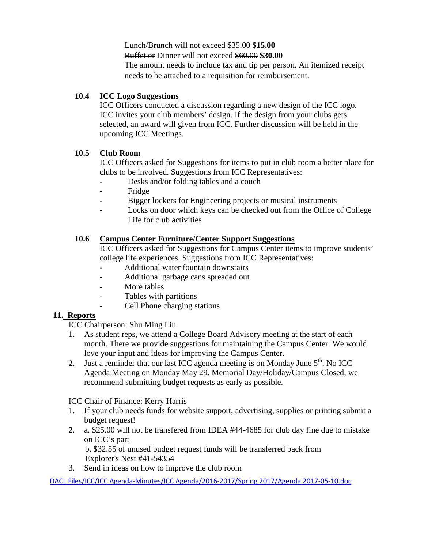Lunch/Brunch will not exceed \$35.00 **\$15.00**

Buffet or Dinner will not exceed \$60.00 **\$30.00**

The amount needs to include tax and tip per person. An itemized receipt needs to be attached to a requisition for reimbursement.

# **10.4 ICC Logo Suggestions**

ICC Officers conducted a discussion regarding a new design of the ICC logo. ICC invites your club members' design. If the design from your clubs gets selected, an award will given from ICC. Further discussion will be held in the upcoming ICC Meetings.

# **10.5 Club Room**

ICC Officers asked for Suggestions for items to put in club room a better place for clubs to be involved. Suggestions from ICC Representatives:

- Desks and/or folding tables and a couch
- Fridge
- Bigger lockers for Engineering projects or musical instruments
- Locks on door which keys can be checked out from the Office of College Life for club activities

# **10.6 Campus Center Furniture/Center Support Suggestions**

ICC Officers asked for Suggestions for Campus Center items to improve students' college life experiences. Suggestions from ICC Representatives:

- Additional water fountain downstairs
- Additional garbage cans spreaded out
- More tables
- Tables with partitions
- Cell Phone charging stations

### **11. Reports**

ICC Chairperson: Shu Ming Liu

- 1. As student reps, we attend a College Board Advisory meeting at the start of each month. There we provide suggestions for maintaining the Campus Center. We would love your input and ideas for improving the Campus Center.
- 2. Just a reminder that our last ICC agenda meeting is on Monday June  $5<sup>th</sup>$ . No ICC Agenda Meeting on Monday May 29. Memorial Day/Holiday/Campus Closed, we recommend submitting budget requests as early as possible.

ICC Chair of Finance: Kerry Harris

- 1. If your club needs funds for website support, advertising, supplies or printing submit a budget request!
- 2. a. \$25.00 will not be transfered from IDEA #44-4685 for club day fine due to mistake on ICC's part

 b. \$32.55 of unused budget request funds will be transferred back from Explorer's Nest #41-54354

3. Send in ideas on how to improve the club room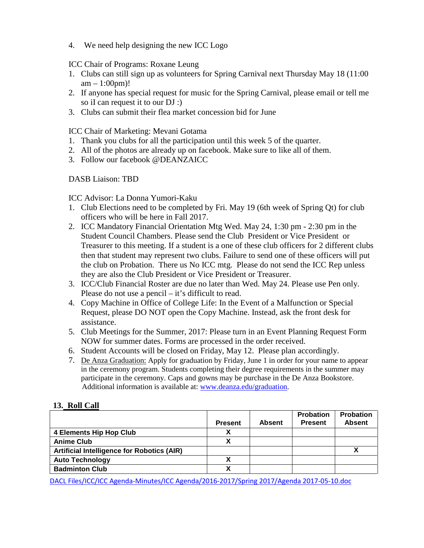4. We need help designing the new ICC Logo

ICC Chair of Programs: Roxane Leung

- 1. Clubs can still sign up as volunteers for Spring Carnival next Thursday May 18 (11:00  $am - 1:00pm$ !
- 2. If anyone has special request for music for the Spring Carnival, please email or tell me so iI can request it to our DJ :)
- 3. Clubs can submit their flea market concession bid for June

ICC Chair of Marketing: Mevani Gotama

- 1. Thank you clubs for all the participation until this week 5 of the quarter.
- 2. All of the photos are already up on facebook. Make sure to like all of them.
- 3. Follow our facebook @DEANZAICC

DASB Liaison: TBD

ICC Advisor: La Donna Yumori-Kaku

- 1. Club Elections need to be completed by Fri. May 19 (6th week of Spring Qt) for club officers who will be here in Fall 2017.
- 2. ICC Mandatory Financial Orientation Mtg Wed. May 24, 1:30 pm 2:30 pm in the Student Council Chambers. Please send the Club President or Vice President or Treasurer to this meeting. If a student is a one of these club officers for 2 different clubs then that student may represent two clubs. Failure to send one of these officers will put the club on Probation. There us No ICC mtg. Please do not send the ICC Rep unless they are also the Club President or Vice President or Treasurer.
- 3. ICC/Club Financial Roster are due no later than Wed. May 24. Please use Pen only. Please do not use a pencil – it's difficult to read.
- 4. Copy Machine in Office of College Life: In the Event of a Malfunction or Special Request, please DO NOT open the Copy Machine. Instead, ask the front desk for assistance.
- 5. Club Meetings for the Summer, 2017: Please turn in an Event Planning Request Form NOW for summer dates. Forms are processed in the order received.
- 6. Student Accounts will be closed on Friday, May 12. Please plan accordingly.
- 7. De Anza Graduation: Apply for graduation by Friday, June 1 in order for your name to appear in the ceremony program. Students completing their degree requirements in the summer may participate in the ceremony. Caps and gowns may be purchase in the De Anza Bookstore. Additional information is available at: [www.deanza.edu/graduation.](http://www.deanza.edu/graduation)

### **13. Roll Call**

|                                                   |                |               | <b>Probation</b> | <b>Probation</b> |
|---------------------------------------------------|----------------|---------------|------------------|------------------|
|                                                   | <b>Present</b> | <b>Absent</b> | <b>Present</b>   | <b>Absent</b>    |
| <b>4 Elements Hip Hop Club</b>                    |                |               |                  |                  |
| <b>Anime Club</b>                                 | χ              |               |                  |                  |
| <b>Artificial Intelligence for Robotics (AIR)</b> |                |               |                  |                  |
| <b>Auto Technology</b>                            |                |               |                  |                  |
| <b>Badminton Club</b>                             |                |               |                  |                  |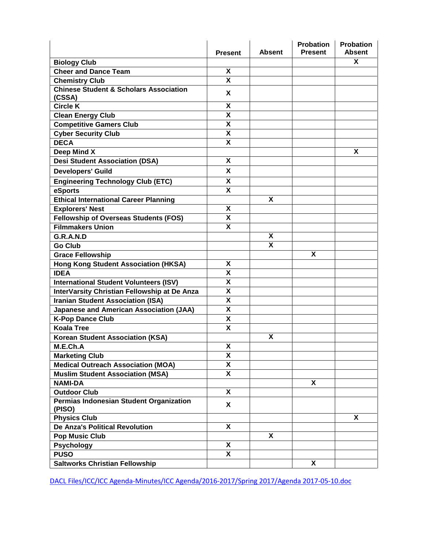|                                                   | <b>Present</b>            | <b>Absent</b> | <b>Probation</b><br><b>Present</b> | <b>Probation</b><br><b>Absent</b> |
|---------------------------------------------------|---------------------------|---------------|------------------------------------|-----------------------------------|
| <b>Biology Club</b>                               |                           |               |                                    | X                                 |
| <b>Cheer and Dance Team</b>                       | X                         |               |                                    |                                   |
| <b>Chemistry Club</b>                             | X                         |               |                                    |                                   |
| <b>Chinese Student &amp; Scholars Association</b> | X                         |               |                                    |                                   |
| (CSSA)                                            |                           |               |                                    |                                   |
| <b>Circle K</b>                                   | $\pmb{\mathsf{X}}$        |               |                                    |                                   |
| <b>Clean Energy Club</b>                          | $\overline{\mathbf{x}}$   |               |                                    |                                   |
| <b>Competitive Gamers Club</b>                    | $\pmb{\mathsf{X}}$        |               |                                    |                                   |
| <b>Cyber Security Club</b>                        | $\overline{\mathbf{X}}$   |               |                                    |                                   |
| <b>DECA</b>                                       | X                         |               |                                    |                                   |
| Deep Mind X                                       |                           |               |                                    | X                                 |
| <b>Desi Student Association (DSA)</b>             | $\boldsymbol{\mathsf{X}}$ |               |                                    |                                   |
| <b>Developers' Guild</b>                          | X                         |               |                                    |                                   |
| <b>Engineering Technology Club (ETC)</b>          | X                         |               |                                    |                                   |
| eSports                                           | $\boldsymbol{\mathsf{X}}$ |               |                                    |                                   |
| Ethical International Career Planning             |                           | X             |                                    |                                   |
| <b>Explorers' Nest</b>                            | X                         |               |                                    |                                   |
| <b>Fellowship of Overseas Students (FOS)</b>      | X                         |               |                                    |                                   |
| <b>Filmmakers Union</b>                           | $\overline{\mathbf{x}}$   |               |                                    |                                   |
| G.R.A.N.D                                         |                           | X             |                                    |                                   |
| <b>Go Club</b>                                    |                           | X             |                                    |                                   |
| <b>Grace Fellowship</b>                           |                           |               | X                                  |                                   |
| <b>Hong Kong Student Association (HKSA)</b>       | X                         |               |                                    |                                   |
| <b>IDEA</b>                                       | X                         |               |                                    |                                   |
| <b>International Student Volunteers (ISV)</b>     | X                         |               |                                    |                                   |
| InterVarsity Christian Fellowship at De Anza      | X                         |               |                                    |                                   |
| <b>Iranian Student Association (ISA)</b>          | X                         |               |                                    |                                   |
| <b>Japanese and American Association (JAA)</b>    | X                         |               |                                    |                                   |
| <b>K-Pop Dance Club</b>                           | $\boldsymbol{\mathsf{X}}$ |               |                                    |                                   |
| <b>Koala Tree</b>                                 | $\pmb{\mathsf{X}}$        |               |                                    |                                   |
| <b>Korean Student Association (KSA)</b>           |                           | X             |                                    |                                   |
| M.E.Ch.A                                          | $\pmb{\mathsf{X}}$        |               |                                    |                                   |
| <b>Marketing Club</b>                             | X                         |               |                                    |                                   |
| <b>Medical Outreach Association (MOA)</b>         | $\overline{\mathbf{X}}$   |               |                                    |                                   |
| <b>Muslim Student Association (MSA)</b>           | $\boldsymbol{\mathsf{X}}$ |               |                                    |                                   |
| <b>NAMI-DA</b>                                    |                           |               | $\overline{\mathbf{x}}$            |                                   |
| <b>Outdoor Club</b>                               | $\boldsymbol{\mathsf{X}}$ |               |                                    |                                   |
| Permias Indonesian Student Organization<br>(PISO) | X                         |               |                                    |                                   |
| <b>Physics Club</b>                               |                           |               |                                    | X                                 |
| <b>De Anza's Political Revolution</b>             | X                         |               |                                    |                                   |
| <b>Pop Music Club</b>                             |                           | X             |                                    |                                   |
| <b>Psychology</b>                                 | X                         |               |                                    |                                   |
| <b>PUSO</b>                                       | X                         |               |                                    |                                   |
| <b>Saltworks Christian Fellowship</b>             |                           |               | X                                  |                                   |
|                                                   |                           |               |                                    |                                   |